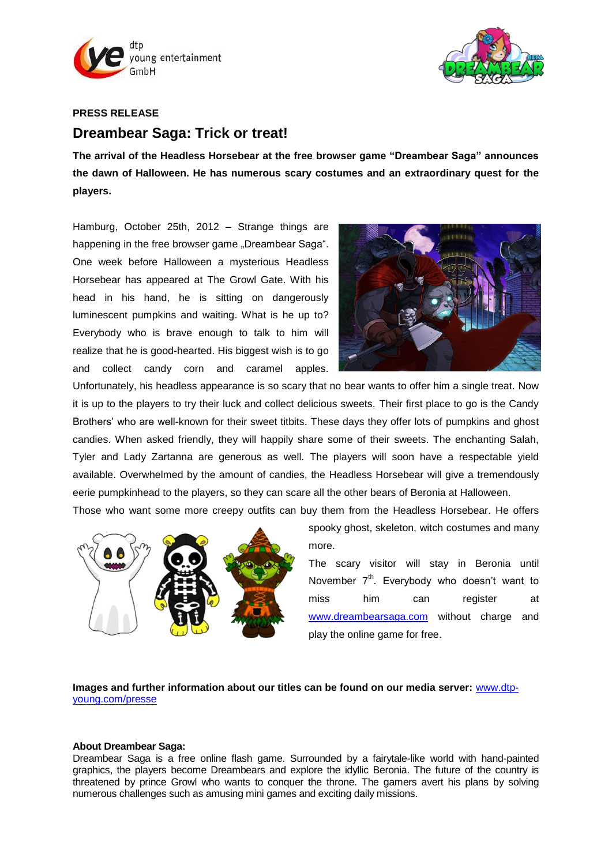



## **PRESS RELEASE**

# **Dreambear Saga: Trick or treat!**

**The arrival of the Headless Horsebear at the free browser game "Dreambear Saga" announces the dawn of Halloween. He has numerous scary costumes and an extraordinary quest for the players.**

Hamburg, October 25th, 2012 – Strange things are happening in the free browser game "Dreambear Saga". One week before Halloween a mysterious Headless Horsebear has appeared at The Growl Gate. With his head in his hand, he is sitting on dangerously luminescent pumpkins and waiting. What is he up to? Everybody who is brave enough to talk to him will realize that he is good-hearted. His biggest wish is to go and collect candy corn and caramel apples.



Unfortunately, his headless appearance is so scary that no bear wants to offer him a single treat. Now it is up to the players to try their luck and collect delicious sweets. Their first place to go is the Candy Brothers' who are well-known for their sweet titbits. These days they offer lots of pumpkins and ghost candies. When asked friendly, they will happily share some of their sweets. The enchanting Salah, Tyler and Lady Zartanna are generous as well. The players will soon have a respectable yield available. Overwhelmed by the amount of candies, the Headless Horsebear will give a tremendously eerie pumpkinhead to the players, so they can scare all the other bears of Beronia at Halloween.

Those who want some more creepy outfits can buy them from the Headless Horsebear. He offers



spooky ghost, skeleton, witch costumes and many more.

The scary visitor will stay in Beronia until November  $7<sup>th</sup>$ . Everybody who doesn't want to miss him can register at [www.dreambearsaga.com](https://game.dreambearsaga.com/#referrer=86ajlx97drfviot5&code=pm251012EN&language=en_GB) without charge and play the online game for free.

# **Images and further information about our titles can be found on our media server:** [www.dtp](http://www.dtp-young.com/presse)[young.com/presse](http://www.dtp-young.com/presse)

#### **About Dreambear Saga:**

Dreambear Saga is a free online flash game. Surrounded by a fairytale-like world with hand-painted graphics, the players become Dreambears and explore the idyllic Beronia. The future of the country is threatened by prince Growl who wants to conquer the throne. The gamers avert his plans by solving numerous challenges such as amusing mini games and exciting daily missions.